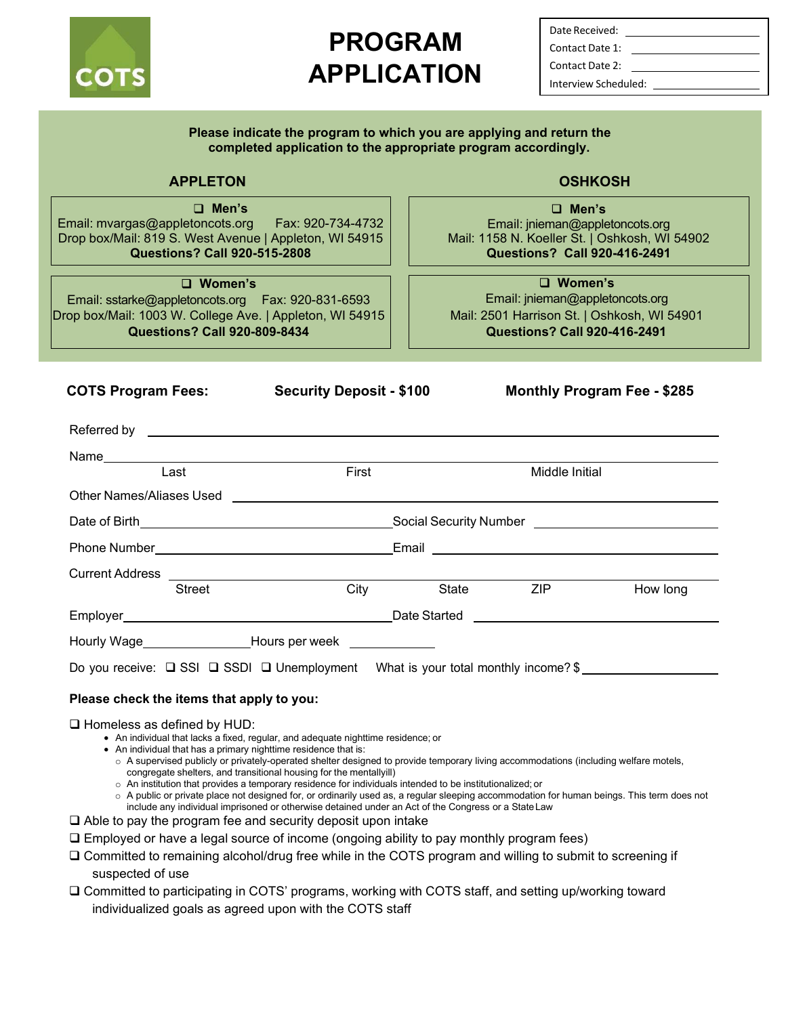

# **PROGRAM APPLICATION**

Date Received: Contact Date 1: Contact Date 2: Interview Scheduled:

| Please indicate the program to which you are applying and return the                                                                                                                                                                                                                                                                                                                                                                                                                                                                                                                                                                                                                                                                                                                                                                                          | completed application to the appropriate program accordingly.                                                                                                                                                                  |                |                                                                                          |                                               |
|---------------------------------------------------------------------------------------------------------------------------------------------------------------------------------------------------------------------------------------------------------------------------------------------------------------------------------------------------------------------------------------------------------------------------------------------------------------------------------------------------------------------------------------------------------------------------------------------------------------------------------------------------------------------------------------------------------------------------------------------------------------------------------------------------------------------------------------------------------------|--------------------------------------------------------------------------------------------------------------------------------------------------------------------------------------------------------------------------------|----------------|------------------------------------------------------------------------------------------|-----------------------------------------------|
| <b>APPLETON</b>                                                                                                                                                                                                                                                                                                                                                                                                                                                                                                                                                                                                                                                                                                                                                                                                                                               |                                                                                                                                                                                                                                |                | <b>OSHKOSH</b>                                                                           |                                               |
| $\Box$ Men's<br>Email: mvargas@appletoncots.org    Fax: 920-734-4732<br>Drop box/Mail: 819 S. West Avenue   Appleton, WI 54915<br><b>Questions? Call 920-515-2808</b>                                                                                                                                                                                                                                                                                                                                                                                                                                                                                                                                                                                                                                                                                         |                                                                                                                                                                                                                                |                | $\Box$ Men's<br>Email: jnieman@appletoncots.org<br><b>Questions? Call 920-416-2491</b>   | Mail: 1158 N. Koeller St.   Oshkosh, WI 54902 |
| $\Box$ Women's<br>Email: sstarke@appletoncots.org    Fax: 920-831-6593<br>Drop box/Mail: 1003 W. College Ave.   Appleton, WI 54915<br><b>Questions? Call 920-809-8434</b>                                                                                                                                                                                                                                                                                                                                                                                                                                                                                                                                                                                                                                                                                     |                                                                                                                                                                                                                                |                | $\Box$ Women's<br>Email: jnieman@appletoncots.org<br><b>Questions? Call 920-416-2491</b> | Mail: 2501 Harrison St.   Oshkosh, WI 54901   |
|                                                                                                                                                                                                                                                                                                                                                                                                                                                                                                                                                                                                                                                                                                                                                                                                                                                               |                                                                                                                                                                                                                                |                |                                                                                          |                                               |
| <b>COTS Program Fees:</b>                                                                                                                                                                                                                                                                                                                                                                                                                                                                                                                                                                                                                                                                                                                                                                                                                                     | <b>Security Deposit - \$100</b>                                                                                                                                                                                                |                |                                                                                          | <b>Monthly Program Fee - \$285</b>            |
|                                                                                                                                                                                                                                                                                                                                                                                                                                                                                                                                                                                                                                                                                                                                                                                                                                                               |                                                                                                                                                                                                                                |                |                                                                                          |                                               |
|                                                                                                                                                                                                                                                                                                                                                                                                                                                                                                                                                                                                                                                                                                                                                                                                                                                               |                                                                                                                                                                                                                                |                |                                                                                          |                                               |
| Last                                                                                                                                                                                                                                                                                                                                                                                                                                                                                                                                                                                                                                                                                                                                                                                                                                                          | First                                                                                                                                                                                                                          |                | <b>Middle Initial</b>                                                                    |                                               |
| Other Names/Aliases Used <b>Example 2018</b>                                                                                                                                                                                                                                                                                                                                                                                                                                                                                                                                                                                                                                                                                                                                                                                                                  |                                                                                                                                                                                                                                |                |                                                                                          |                                               |
|                                                                                                                                                                                                                                                                                                                                                                                                                                                                                                                                                                                                                                                                                                                                                                                                                                                               |                                                                                                                                                                                                                                |                |                                                                                          |                                               |
|                                                                                                                                                                                                                                                                                                                                                                                                                                                                                                                                                                                                                                                                                                                                                                                                                                                               |                                                                                                                                                                                                                                |                |                                                                                          |                                               |
|                                                                                                                                                                                                                                                                                                                                                                                                                                                                                                                                                                                                                                                                                                                                                                                                                                                               |                                                                                                                                                                                                                                |                |                                                                                          |                                               |
| <b>Street</b>                                                                                                                                                                                                                                                                                                                                                                                                                                                                                                                                                                                                                                                                                                                                                                                                                                                 |                                                                                                                                                                                                                                | City State ZIP |                                                                                          | How long                                      |
|                                                                                                                                                                                                                                                                                                                                                                                                                                                                                                                                                                                                                                                                                                                                                                                                                                                               | Employer example and the contract of the Date Started Contract of the Contract of the Contract of the Contract of the Contract of the Contract of the Contract of the Contract of the Contract of the Contract of the Contract |                |                                                                                          |                                               |
|                                                                                                                                                                                                                                                                                                                                                                                                                                                                                                                                                                                                                                                                                                                                                                                                                                                               |                                                                                                                                                                                                                                |                |                                                                                          |                                               |
| Do you receive: $\Box$ SSI $\Box$ SSDI $\Box$ Unemployment What is your total monthly income? \$                                                                                                                                                                                                                                                                                                                                                                                                                                                                                                                                                                                                                                                                                                                                                              |                                                                                                                                                                                                                                |                |                                                                                          |                                               |
|                                                                                                                                                                                                                                                                                                                                                                                                                                                                                                                                                                                                                                                                                                                                                                                                                                                               |                                                                                                                                                                                                                                |                |                                                                                          |                                               |
| Please check the items that apply to you:                                                                                                                                                                                                                                                                                                                                                                                                                                                                                                                                                                                                                                                                                                                                                                                                                     |                                                                                                                                                                                                                                |                |                                                                                          |                                               |
| $\Box$ Homeless as defined by HUD:<br>• An individual that lacks a fixed, regular, and adequate nighttime residence; or<br>• An individual that has a primary nighttime residence that is:<br>$\circ$ A supervised publicly or privately-operated shelter designed to provide temporary living accommodations (including welfare motels,<br>congregate shelters, and transitional housing for the mentallyill)<br>$\circ$ An institution that provides a temporary residence for individuals intended to be institutionalized; or<br>○ A public or private place not designed for, or ordinarily used as, a regular sleeping accommodation for human beings. This term does not<br>include any individual imprisoned or otherwise detained under an Act of the Congress or a State Law<br>$\Box$ Able to pay the program fee and security deposit upon intake |                                                                                                                                                                                                                                |                |                                                                                          |                                               |
| $\Box$ Employed or have a legal source of income (ongoing ability to pay monthly program fees)                                                                                                                                                                                                                                                                                                                                                                                                                                                                                                                                                                                                                                                                                                                                                                |                                                                                                                                                                                                                                |                |                                                                                          |                                               |
| □ Committed to remaining alcohol/drug free while in the COTS program and willing to submit to screening if<br>suspected of use                                                                                                                                                                                                                                                                                                                                                                                                                                                                                                                                                                                                                                                                                                                                |                                                                                                                                                                                                                                |                |                                                                                          |                                               |
| □ Committed to participating in COTS' programs, working with COTS staff, and setting up/working toward                                                                                                                                                                                                                                                                                                                                                                                                                                                                                                                                                                                                                                                                                                                                                        |                                                                                                                                                                                                                                |                |                                                                                          |                                               |

individualized goals as agreed upon with the COTS staff